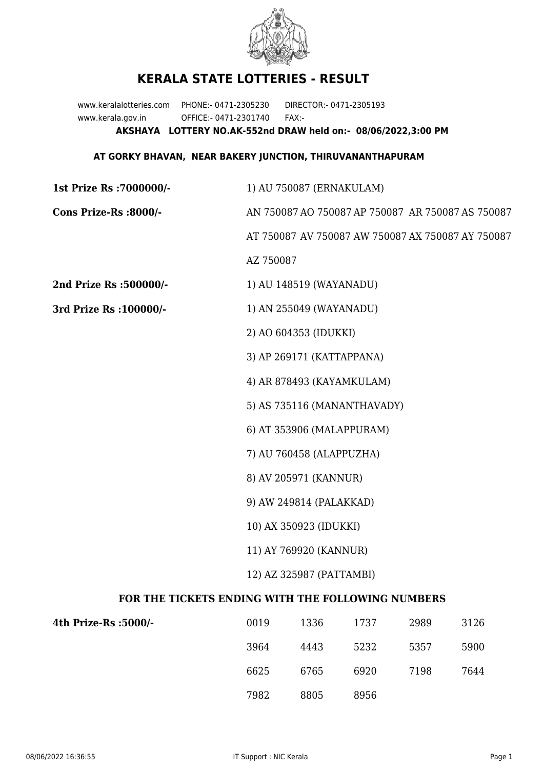

## **KERALA STATE LOTTERIES - RESULT**

www.keralalotteries.com PHONE:- 0471-2305230 DIRECTOR:- 0471-2305193 www.kerala.gov.in OFFICE:- 0471-2301740 FAX:- **AKSHAYA LOTTERY NO.AK-552nd DRAW held on:- 08/06/2022,3:00 PM**

## **AT GORKY BHAVAN, NEAR BAKERY JUNCTION, THIRUVANANTHAPURAM**

| 1st Prize Rs : 7000000/-                          | 1) AU 750087 (ERNAKULAM)                          |      |                                                   |      |      |
|---------------------------------------------------|---------------------------------------------------|------|---------------------------------------------------|------|------|
| Cons Prize-Rs :8000/-                             | AN 750087 AO 750087 AP 750087 AR 750087 AS 750087 |      |                                                   |      |      |
|                                                   |                                                   |      | AT 750087 AV 750087 AW 750087 AX 750087 AY 750087 |      |      |
|                                                   | AZ 750087                                         |      |                                                   |      |      |
| 2nd Prize Rs :500000/-                            | 1) AU 148519 (WAYANADU)                           |      |                                                   |      |      |
| 3rd Prize Rs : 100000/-                           | 1) AN 255049 (WAYANADU)                           |      |                                                   |      |      |
|                                                   | 2) AO 604353 (IDUKKI)                             |      |                                                   |      |      |
|                                                   | 3) AP 269171 (KATTAPPANA)                         |      |                                                   |      |      |
|                                                   | 4) AR 878493 (KAYAMKULAM)                         |      |                                                   |      |      |
|                                                   | 5) AS 735116 (MANANTHAVADY)                       |      |                                                   |      |      |
|                                                   | 6) AT 353906 (MALAPPURAM)                         |      |                                                   |      |      |
|                                                   | 7) AU 760458 (ALAPPUZHA)                          |      |                                                   |      |      |
|                                                   | 8) AV 205971 (KANNUR)                             |      |                                                   |      |      |
|                                                   | 9) AW 249814 (PALAKKAD)                           |      |                                                   |      |      |
|                                                   | 10) AX 350923 (IDUKKI)                            |      |                                                   |      |      |
|                                                   | 11) AY 769920 (KANNUR)                            |      |                                                   |      |      |
|                                                   | 12) AZ 325987 (PATTAMBI)                          |      |                                                   |      |      |
| FOR THE TICKETS ENDING WITH THE FOLLOWING NUMBERS |                                                   |      |                                                   |      |      |
| 4th Prize-Rs :5000/-                              | 0019                                              | 1336 | 1737                                              | 2989 | 3126 |

| 0019 | 1336 | 1737 | 2989 | 3126 |
|------|------|------|------|------|
| 3964 | 4443 | 5232 | 5357 | 5900 |
| 6625 | 6765 | 6920 | 7198 | 7644 |
| 7982 | 8805 | 8956 |      |      |
|      |      |      |      |      |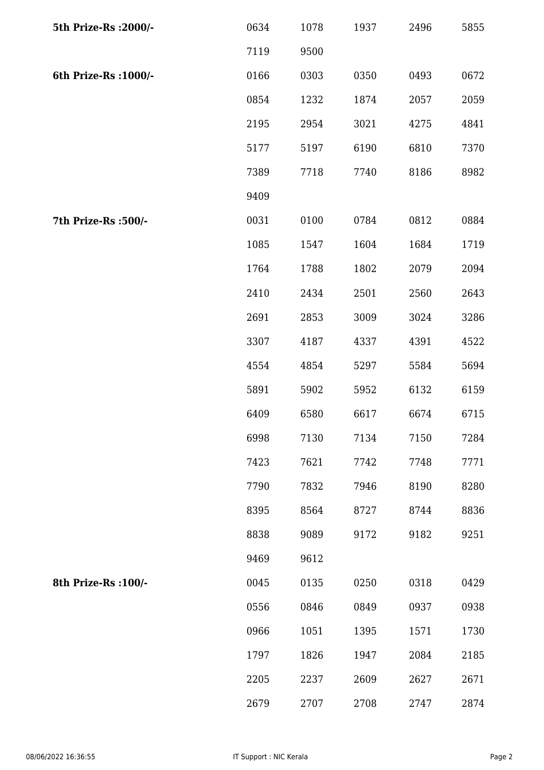| 5th Prize-Rs : 2000/- | 0634 | 1078 | 1937 | 2496 | 5855 |
|-----------------------|------|------|------|------|------|
|                       | 7119 | 9500 |      |      |      |
| 6th Prize-Rs : 1000/- | 0166 | 0303 | 0350 | 0493 | 0672 |
|                       | 0854 | 1232 | 1874 | 2057 | 2059 |
|                       | 2195 | 2954 | 3021 | 4275 | 4841 |
|                       | 5177 | 5197 | 6190 | 6810 | 7370 |
|                       | 7389 | 7718 | 7740 | 8186 | 8982 |
|                       | 9409 |      |      |      |      |
| 7th Prize-Rs : 500/-  | 0031 | 0100 | 0784 | 0812 | 0884 |
|                       | 1085 | 1547 | 1604 | 1684 | 1719 |
|                       | 1764 | 1788 | 1802 | 2079 | 2094 |
|                       | 2410 | 2434 | 2501 | 2560 | 2643 |
|                       | 2691 | 2853 | 3009 | 3024 | 3286 |
|                       | 3307 | 4187 | 4337 | 4391 | 4522 |
|                       | 4554 | 4854 | 5297 | 5584 | 5694 |
|                       | 5891 | 5902 | 5952 | 6132 | 6159 |
|                       | 6409 | 6580 | 6617 | 6674 | 6715 |
|                       | 6998 | 7130 | 7134 | 7150 | 7284 |
|                       | 7423 | 7621 | 7742 | 7748 | 7771 |
|                       | 7790 | 7832 | 7946 | 8190 | 8280 |
|                       | 8395 | 8564 | 8727 | 8744 | 8836 |
|                       | 8838 | 9089 | 9172 | 9182 | 9251 |
|                       | 9469 | 9612 |      |      |      |
| 8th Prize-Rs : 100/-  | 0045 | 0135 | 0250 | 0318 | 0429 |
|                       | 0556 | 0846 | 0849 | 0937 | 0938 |
|                       | 0966 | 1051 | 1395 | 1571 | 1730 |
|                       | 1797 | 1826 | 1947 | 2084 | 2185 |
|                       | 2205 | 2237 | 2609 | 2627 | 2671 |
|                       | 2679 | 2707 | 2708 | 2747 | 2874 |